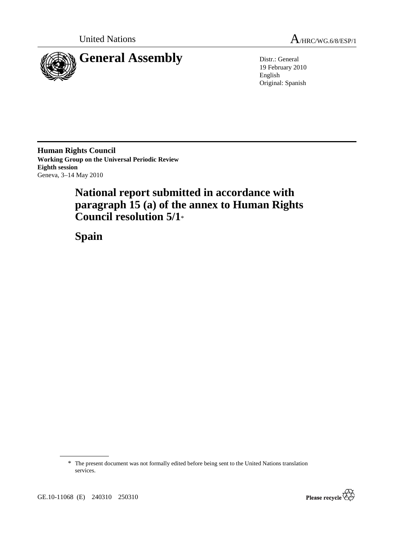



19 February 2010 English Original: Spanish

**Human Rights Council Working Group on the Universal Periodic Review Eighth session**  Geneva, 3–14 May 2010

# **National report submitted in accordance with paragraph 15 (a) of the annex to Human Rights Council resolution 5/1**\*

 **Spain** 

<sup>\*</sup> The present document was not formally edited before being sent to the United Nations translation services.



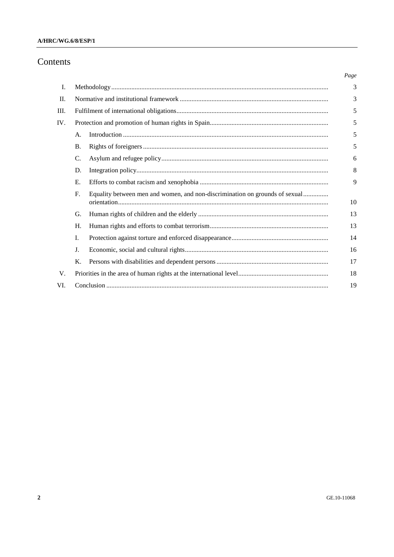#### A/HRC/WG.6/8/ESP/1

### Contents

|         |             |                                                                             | Page |  |  |  |
|---------|-------------|-----------------------------------------------------------------------------|------|--|--|--|
| I.      |             |                                                                             | 3    |  |  |  |
| $\Pi$ . |             |                                                                             | 3    |  |  |  |
| Ш.      |             |                                                                             | 5    |  |  |  |
| IV.     |             |                                                                             | 5    |  |  |  |
|         | А.          |                                                                             | 5    |  |  |  |
|         | <b>B.</b>   |                                                                             | 5    |  |  |  |
|         | C.          |                                                                             | 6    |  |  |  |
|         | D.          |                                                                             | 8    |  |  |  |
|         | Е.          |                                                                             | 9    |  |  |  |
|         | $F_{\cdot}$ | Equality between men and women, and non-discrimination on grounds of sexual | 10   |  |  |  |
|         | G.          |                                                                             | 13   |  |  |  |
|         | H.          |                                                                             | 13   |  |  |  |
|         | I.          |                                                                             | 14   |  |  |  |
|         | J.          |                                                                             | 16   |  |  |  |
|         | Κ.          |                                                                             | 17   |  |  |  |
| V.      |             |                                                                             | 18   |  |  |  |
| VI.     |             |                                                                             | 19   |  |  |  |
|         |             |                                                                             |      |  |  |  |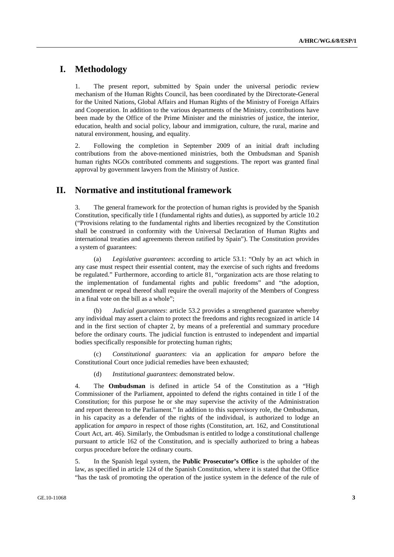## **I. Methodology**

1. The present report, submitted by Spain under the universal periodic review mechanism of the Human Rights Council, has been coordinated by the Directorate-General for the United Nations, Global Affairs and Human Rights of the Ministry of Foreign Affairs and Cooperation. In addition to the various departments of the Ministry, contributions have been made by the Office of the Prime Minister and the ministries of justice, the interior, education, health and social policy, labour and immigration, culture, the rural, marine and natural environment, housing, and equality.

2. Following the completion in September 2009 of an initial draft including contributions from the above-mentioned ministries, both the Ombudsman and Spanish human rights NGOs contributed comments and suggestions. The report was granted final approval by government lawyers from the Ministry of Justice.

### **II. Normative and institutional framework**

3. The general framework for the protection of human rights is provided by the Spanish Constitution, specifically title I (fundamental rights and duties), as supported by article 10.2 ("Provisions relating to the fundamental rights and liberties recognized by the Constitution shall be construed in conformity with the Universal Declaration of Human Rights and international treaties and agreements thereon ratified by Spain"). The Constitution provides a system of guarantees:

 (a) *Legislative guarantees*: according to article 53.1: "Only by an act which in any case must respect their essential content, may the exercise of such rights and freedoms be regulated." Furthermore, according to article 81, "organization acts are those relating to the implementation of fundamental rights and public freedoms" and "the adoption, amendment or repeal thereof shall require the overall majority of the Members of Congress in a final vote on the bill as a whole";

 (b) *Judicial guarantees*: article 53.2 provides a strengthened guarantee whereby any individual may assert a claim to protect the freedoms and rights recognized in article 14 and in the first section of chapter 2, by means of a preferential and summary procedure before the ordinary courts. The judicial function is entrusted to independent and impartial bodies specifically responsible for protecting human rights;

 (c) *Constitutional guarantees*: via an application for *amparo* before the Constitutional Court once judicial remedies have been exhausted;

(d) *Institutional guarantees*: demonstrated below.

4. The **Ombudsman** is defined in article 54 of the Constitution as a "High Commissioner of the Parliament, appointed to defend the rights contained in title I of the Constitution; for this purpose he or she may supervise the activity of the Administration and report thereon to the Parliament." In addition to this supervisory role, the Ombudsman, in his capacity as a defender of the rights of the individual, is authorized to lodge an application for *amparo* in respect of those rights (Constitution, art. 162, and Constitutional Court Act, art. 46). Similarly, the Ombudsman is entitled to lodge a constitutional challenge pursuant to article 162 of the Constitution, and is specially authorized to bring a habeas corpus procedure before the ordinary courts.

5. In the Spanish legal system, the **Public Prosecutor's Office** is the upholder of the law, as specified in article 124 of the Spanish Constitution, where it is stated that the Office "has the task of promoting the operation of the justice system in the defence of the rule of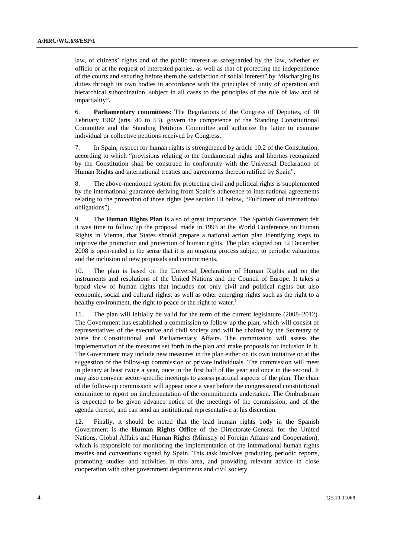law, of citizens' rights and of the public interest as safeguarded by the law, whether ex officio or at the request of interested parties, as well as that of protecting the independence of the courts and securing before them the satisfaction of social interest" by "discharging its duties through its own bodies in accordance with the principles of unity of operation and hierarchical subordination, subject in all cases to the principles of the rule of law and of impartiality".

6. **Parliamentary committees**: The Regulations of the Congress of Deputies, of 10 February 1982 (arts. 40 to 53), govern the competence of the Standing Constitutional Committee and the Standing Petitions Committee and authorize the latter to examine individual or collective petitions received by Congress.

7. In Spain, respect for human rights is strengthened by article 10.2 of the Constitution, according to which "provisions relating to the fundamental rights and liberties recognized by the Constitution shall be construed in conformity with the Universal Declaration of Human Rights and international treaties and agreements thereon ratified by Spain".

8. The above-mentioned system for protecting civil and political rights is supplemented by the international guarantee deriving from Spain's adherence to international agreements relating to the protection of those rights (see section III below, "Fulfilment of international obligations").

9. The **Human Rights Plan** is also of great importance. The Spanish Government felt it was time to follow up the proposal made in 1993 at the World Conference on Human Rights in Vienna, that States should prepare a national action plan identifying steps to improve the promotion and protection of human rights. The plan adopted on 12 December 2008 is open-ended in the sense that it is an ongoing process subject to periodic valuations and the inclusion of new proposals and commitments.

10. The plan is based on the Universal Declaration of Human Rights and on the instruments and resolutions of the United Nations and the Council of Europe. It takes a broad view of human rights that includes not only civil and political rights but also economic, social and cultural rights, as well as other emerging rights such as the right to a healthy environment, the right to peace or the right to water.<sup>1</sup>

11. The plan will initially be valid for the term of the current legislature (2008–2012). The Government has established a commission to follow up the plan, which will consist of representatives of the executive and civil society and will be chaired by the Secretary of State for Constitutional and Parliamentary Affairs. The commission will assess the implementation of the measures set forth in the plan and make proposals for inclusion in it. The Government may include new measures in the plan either on its own initiative or at the suggestion of the follow-up commission or private individuals. The commission will meet in plenary at least twice a year, once in the first half of the year and once in the second. It may also convene sector-specific meetings to assess practical aspects of the plan. The chair of the follow-up commission will appear once a year before the congressional constitutional committee to report on implementation of the commitments undertaken. The Ombudsman is expected to be given advance notice of the meetings of the commission, and of the agenda thereof, and can send an institutional representative at his discretion.

12. Finally, it should be noted that the lead human rights body in the Spanish Government is the **Human Rights Office** of the Directorate-General for the United Nations, Global Affairs and Human Rights (Ministry of Foreign Affairs and Cooperation), which is responsible for monitoring the implementation of the international human rights treaties and conventions signed by Spain. This task involves producing periodic reports, promoting studies and activities in this area, and providing relevant advice in close cooperation with other government departments and civil society.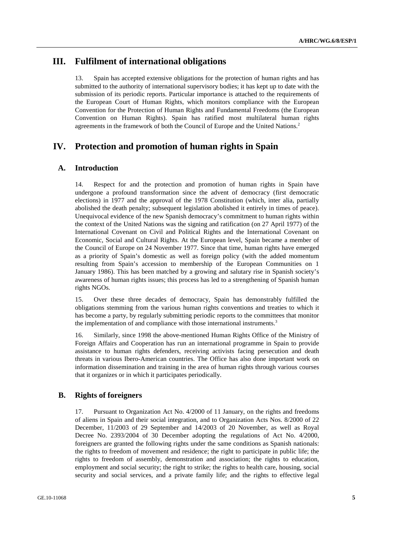### **III. Fulfilment of international obligations**

13. Spain has accepted extensive obligations for the protection of human rights and has submitted to the authority of international supervisory bodies; it has kept up to date with the submission of its periodic reports. Particular importance is attached to the requirements of the European Court of Human Rights, which monitors compliance with the European Convention for the Protection of Human Rights and Fundamental Freedoms (the European Convention on Human Rights). Spain has ratified most multilateral human rights agreements in the framework of both the Council of Europe and the United Nations.2

### **IV. Protection and promotion of human rights in Spain**

#### **A. Introduction**

14. Respect for and the protection and promotion of human rights in Spain have undergone a profound transformation since the advent of democracy (first democratic elections) in 1977 and the approval of the 1978 Constitution (which, inter alia, partially abolished the death penalty; subsequent legislation abolished it entirely in times of peace). Unequivocal evidence of the new Spanish democracy's commitment to human rights within the context of the United Nations was the signing and ratification (on 27 April 1977) of the International Covenant on Civil and Political Rights and the International Covenant on Economic, Social and Cultural Rights. At the European level, Spain became a member of the Council of Europe on 24 November 1977. Since that time, human rights have emerged as a priority of Spain's domestic as well as foreign policy (with the added momentum resulting from Spain's accession to membership of the European Communities on 1 January 1986). This has been matched by a growing and salutary rise in Spanish society's awareness of human rights issues; this process has led to a strengthening of Spanish human rights NGOs.

15. Over these three decades of democracy, Spain has demonstrably fulfilled the obligations stemming from the various human rights conventions and treaties to which it has become a party, by regularly submitting periodic reports to the committees that monitor the implementation of and compliance with those international instruments.<sup>3</sup>

16. Similarly, since 1998 the above-mentioned Human Rights Office of the Ministry of Foreign Affairs and Cooperation has run an international programme in Spain to provide assistance to human rights defenders, receiving activists facing persecution and death threats in various Ibero-American countries. The Office has also done important work on information dissemination and training in the area of human rights through various courses that it organizes or in which it participates periodically.

#### **B. Rights of foreigners**

17. Pursuant to Organization Act No. 4/2000 of 11 January, on the rights and freedoms of aliens in Spain and their social integration, and to Organization Acts Nos. 8/2000 of 22 December, 11/2003 of 29 September and 14/2003 of 20 November, as well as Royal Decree No. 2393/2004 of 30 December adopting the regulations of Act No. 4/2000, foreigners are granted the following rights under the same conditions as Spanish nationals: the rights to freedom of movement and residence; the right to participate in public life; the rights to freedom of assembly, demonstration and association; the rights to education, employment and social security; the right to strike; the rights to health care, housing, social security and social services, and a private family life; and the rights to effective legal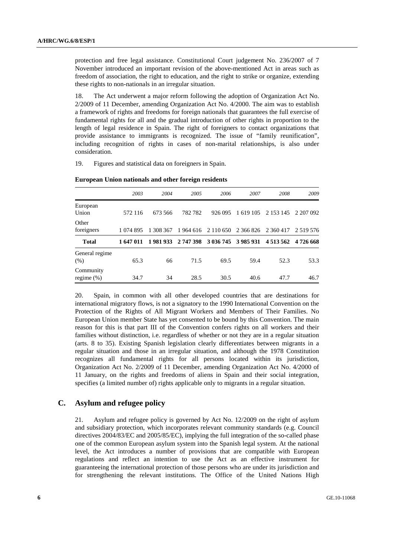protection and free legal assistance. Constitutional Court judgement No. 236/2007 of 7 November introduced an important revision of the above-mentioned Act in areas such as freedom of association, the right to education, and the right to strike or organize, extending these rights to non-nationals in an irregular situation.

18. The Act underwent a major reform following the adoption of Organization Act No. 2/2009 of 11 December, amending Organization Act No. 4/2000. The aim was to establish a framework of rights and freedoms for foreign nationals that guarantees the full exercise of fundamental rights for all and the gradual introduction of other rights in proportion to the length of legal residence in Spain. The right of foreigners to contact organizations that provide assistance to immigrants is recognized. The issue of "family reunification", including recognition of rights in cases of non-marital relationships, is also under consideration.

19. Figures and statistical data on foreigners in Spain.

|                            | 2003      | 2004      | 2005      | 2006          | 2007                | 2008          | 2009         |
|----------------------------|-----------|-----------|-----------|---------------|---------------------|---------------|--------------|
| European<br>Union          | 572 116   | 673 566   | 782 782   | 926 095       | 1 619 105           | 2 153 145     | 2 207 092    |
| Other<br>foreigners        | 1 074 895 | 1 308 367 | 1964 616  | 2 1 1 0 6 5 0 | 2 366 826           | 2 360 417     | 2 5 19 5 7 6 |
| <b>Total</b>               | 1 647 011 | 1981933   | 2 747 398 |               | 3 036 745 3 985 931 | 4 5 1 3 5 6 2 | 4 726 668    |
| General regime<br>(% )     | 65.3      | 66        | 71.5      | 69.5          | 59.4                | 52.3          | 53.3         |
| Community<br>regime $(\%)$ | 34.7      | 34        | 28.5      | 30.5          | 40.6                | 47.7          | 46.7         |

 **European Union nationals and other foreign residents** 

20. Spain, in common with all other developed countries that are destinations for international migratory flows, is not a signatory to the 1990 International Convention on the Protection of the Rights of All Migrant Workers and Members of Their Families. No European Union member State has yet consented to be bound by this Convention. The main reason for this is that part III of the Convention confers rights on all workers and their families without distinction, i.e. regardless of whether or not they are in a regular situation (arts. 8 to 35). Existing Spanish legislation clearly differentiates between migrants in a regular situation and those in an irregular situation, and although the 1978 Constitution recognizes all fundamental rights for all persons located within its jurisdiction, Organization Act No. 2/2009 of 11 December, amending Organization Act No. 4/2000 of 11 January, on the rights and freedoms of aliens in Spain and their social integration, specifies (a limited number of) rights applicable only to migrants in a regular situation.

#### **C. Asylum and refugee policy**

21. Asylum and refugee policy is governed by Act No. 12/2009 on the right of asylum and subsidiary protection, which incorporates relevant community standards (e.g. Council directives 2004/83/EC and 2005/85/EC), implying the full integration of the so-called phase one of the common European asylum system into the Spanish legal system. At the national level, the Act introduces a number of provisions that are compatible with European regulations and reflect an intention to use the Act as an effective instrument for guaranteeing the international protection of those persons who are under its jurisdiction and for strengthening the relevant institutions. The Office of the United Nations High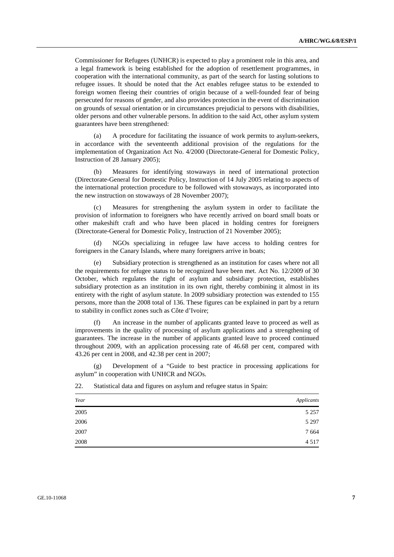Commissioner for Refugees (UNHCR) is expected to play a prominent role in this area, and a legal framework is being established for the adoption of resettlement programmes, in cooperation with the international community, as part of the search for lasting solutions to refugee issues. It should be noted that the Act enables refugee status to be extended to foreign women fleeing their countries of origin because of a well-founded fear of being persecuted for reasons of gender, and also provides protection in the event of discrimination on grounds of sexual orientation or in circumstances prejudicial to persons with disabilities, older persons and other vulnerable persons. In addition to the said Act, other asylum system guarantees have been strengthened:

 (a) A procedure for facilitating the issuance of work permits to asylum-seekers, in accordance with the seventeenth additional provision of the regulations for the implementation of Organization Act No. 4/2000 (Directorate-General for Domestic Policy, Instruction of 28 January 2005);

 (b) Measures for identifying stowaways in need of international protection (Directorate-General for Domestic Policy, Instruction of 14 July 2005 relating to aspects of the international protection procedure to be followed with stowaways, as incorporated into the new instruction on stowaways of 28 November 2007);

Measures for strengthening the asylum system in order to facilitate the provision of information to foreigners who have recently arrived on board small boats or other makeshift craft and who have been placed in holding centres for foreigners (Directorate-General for Domestic Policy, Instruction of 21 November 2005);

 (d) NGOs specializing in refugee law have access to holding centres for foreigners in the Canary Islands, where many foreigners arrive in boats;

Subsidiary protection is strengthened as an institution for cases where not all the requirements for refugee status to be recognized have been met. Act No. 12/2009 of 30 October, which regulates the right of asylum and subsidiary protection, establishes subsidiary protection as an institution in its own right, thereby combining it almost in its entirety with the right of asylum statute. In 2009 subsidiary protection was extended to 155 persons, more than the 2008 total of 136. These figures can be explained in part by a return to stability in conflict zones such as Côte d'Ivoire;

 (f) An increase in the number of applicants granted leave to proceed as well as improvements in the quality of processing of asylum applications and a strengthening of guarantees. The increase in the number of applicants granted leave to proceed continued throughout 2009, with an application processing rate of 46.68 per cent, compared with 43.26 per cent in 2008, and 42.38 per cent in 2007;

 (g) Development of a "Guide to best practice in processing applications for asylum" in cooperation with UNHCR and NGOs.

| Year | Applicants |
|------|------------|
| 2005 | 5 2 5 7    |
| 2006 | 5 2 9 7    |
| 2007 | 7 6 6 4    |
| 2008 | 4 5 1 7    |

22. Statistical data and figures on asylum and refugee status in Spain: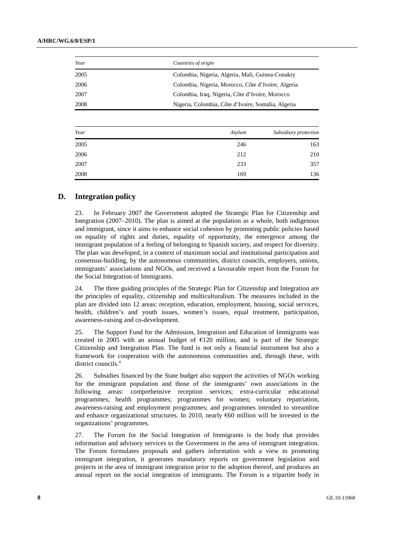| Year | Countries of origin                                |
|------|----------------------------------------------------|
| 2005 | Colombia, Nigeria, Algeria, Mali, Guinea-Conakry   |
| 2006 | Colombia, Nigeria, Morocco, Côte d'Ivoire, Algeria |
| 2007 | Colombia, Iraq, Nigeria, Côte d'Ivoire, Morocco    |
| 2008 | Nigeria, Colombia, Côte d'Ivoire, Somalia, Algeria |

| Year | Asylum | Subsidiary protection |
|------|--------|-----------------------|
| 2005 | 246    | 163                   |
| 2006 | 212    | 210                   |
| 2007 | 233    | 357                   |
| 2008 | 169    | 136                   |

#### **D. Integration policy**

23. In February 2007 the Government adopted the Strategic Plan for Citizenship and Integration (2007–2010). The plan is aimed at the population as a whole, both indigenous and immigrant, since it aims to enhance social cohesion by promoting public policies based on equality of rights and duties, equality of opportunity, the emergence among the immigrant population of a feeling of belonging to Spanish society, and respect for diversity. The plan was developed, in a context of maximum social and institutional participation and consensus-building, by the autonomous communities, district councils, employers, unions, immigrants' associations and NGOs, and received a favourable report from the Forum for the Social Integration of Immigrants.

24. The three guiding principles of the Strategic Plan for Citizenship and Integration are the principles of equality, citizenship and multiculturalism. The measures included in the plan are divided into 12 areas: reception, education, employment, housing, social services, health, children's and youth issues, women's issues, equal treatment, participation, awareness-raising and co-development.

25. The Support Fund for the Admission, Integration and Education of Immigrants was created in 2005 with an annual budget of €120 million, and is part of the Strategic Citizenship and Integration Plan. The fund is not only a financial instrument but also a framework for cooperation with the autonomous communities and, through these, with district councils.<sup>4</sup>

26. Subsidies financed by the State budget also support the activities of NGOs working for the immigrant population and those of the immigrants' own associations in the following areas: comprehensive reception services; extra-curricular educational programmes; health programmes; programmes for women; voluntary repatriation, awareness-raising and employment programmes; and programmes intended to streamline and enhance organizational structures. In 2010, nearly  $\epsilon$ 60 million will be invested in the organizations' programmes.

27. The Forum for the Social Integration of Immigrants is the body that provides information and advisory services to the Government in the area of immigrant integration. The Forum formulates proposals and gathers information with a view to promoting immigrant integration, it generates mandatory reports on government legislation and projects in the area of immigrant integration prior to the adoption thereof, and produces an annual report on the social integration of immigrants. The Forum is a tripartite body in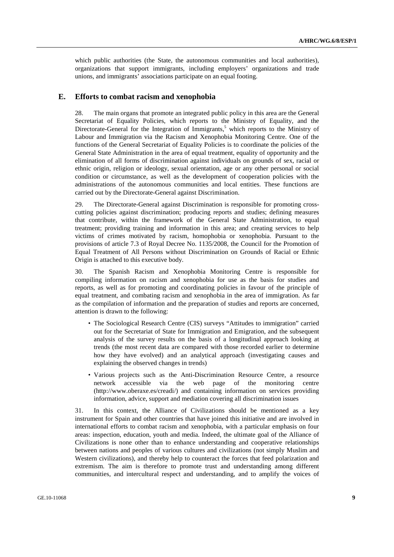which public authorities (the State, the autonomous communities and local authorities), organizations that support immigrants, including employers' organizations and trade unions, and immigrants' associations participate on an equal footing.

#### **E. Efforts to combat racism and xenophobia**

28. The main organs that promote an integrated public policy in this area are the General Secretariat of Equality Policies, which reports to the Ministry of Equality, and the Directorate-General for the Integration of Immigrants,<sup>5</sup> which reports to the Ministry of Labour and Immigration via the Racism and Xenophobia Monitoring Centre. One of the functions of the General Secretariat of Equality Policies is to coordinate the policies of the General State Administration in the area of equal treatment, equality of opportunity and the elimination of all forms of discrimination against individuals on grounds of sex, racial or ethnic origin, religion or ideology, sexual orientation, age or any other personal or social condition or circumstance, as well as the development of cooperation policies with the administrations of the autonomous communities and local entities. These functions are carried out by the Directorate-General against Discrimination.

29. The Directorate-General against Discrimination is responsible for promoting crosscutting policies against discrimination; producing reports and studies; defining measures that contribute, within the framework of the General State Administration, to equal treatment; providing training and information in this area; and creating services to help victims of crimes motivated by racism, homophobia or xenophobia. Pursuant to the provisions of article 7.3 of Royal Decree No. 1135/2008, the Council for the Promotion of Equal Treatment of All Persons without Discrimination on Grounds of Racial or Ethnic Origin is attached to this executive body.

30. The Spanish Racism and Xenophobia Monitoring Centre is responsible for compiling information on racism and xenophobia for use as the basis for studies and reports, as well as for promoting and coordinating policies in favour of the principle of equal treatment, and combating racism and xenophobia in the area of immigration. As far as the compilation of information and the preparation of studies and reports are concerned, attention is drawn to the following:

- The Sociological Research Centre (CIS) surveys "Attitudes to immigration" carried out for the Secretariat of State for Immigration and Emigration, and the subsequent analysis of the survey results on the basis of a longitudinal approach looking at trends (the most recent data are compared with those recorded earlier to determine how they have evolved) and an analytical approach (investigating causes and explaining the observed changes in trends)
- Various projects such as the Anti-Discrimination Resource Centre, a resource network accessible via the web page of the monitoring centre (http://www.oberaxe.es/creadi/) and containing information on services providing information, advice, support and mediation covering all discrimination issues

31. In this context, the Alliance of Civilizations should be mentioned as a key instrument for Spain and other countries that have joined this initiative and are involved in international efforts to combat racism and xenophobia, with a particular emphasis on four areas: inspection, education, youth and media. Indeed, the ultimate goal of the Alliance of Civilizations is none other than to enhance understanding and cooperative relationships between nations and peoples of various cultures and civilizations (not simply Muslim and Western civilizations), and thereby help to counteract the forces that feed polarization and extremism. The aim is therefore to promote trust and understanding among different communities, and intercultural respect and understanding, and to amplify the voices of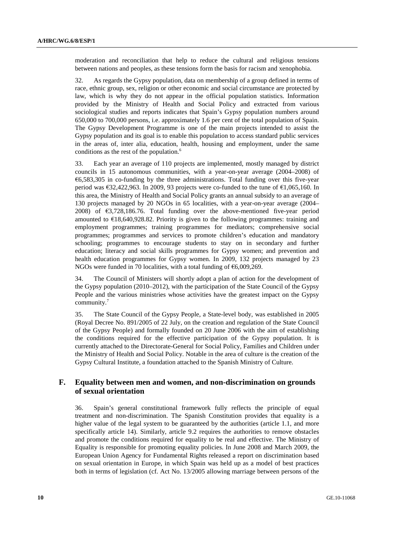moderation and reconciliation that help to reduce the cultural and religious tensions between nations and peoples, as these tensions form the basis for racism and xenophobia.

32. As regards the Gypsy population, data on membership of a group defined in terms of race, ethnic group, sex, religion or other economic and social circumstance are protected by law, which is why they do not appear in the official population statistics. Information provided by the Ministry of Health and Social Policy and extracted from various sociological studies and reports indicates that Spain's Gypsy population numbers around 650,000 to 700,000 persons, i.e. approximately 1.6 per cent of the total population of Spain. The Gypsy Development Programme is one of the main projects intended to assist the Gypsy population and its goal is to enable this population to access standard public services in the areas of, inter alia, education, health, housing and employment, under the same conditions as the rest of the population.<sup>6</sup>

33. Each year an average of 110 projects are implemented, mostly managed by district councils in 15 autonomous communities, with a year-on-year average (2004–2008) of  $66,583,305$  in co-funding by the three administrations. Total funding over this five-year period was  $\text{\textsterling}32.422.963$ . In 2009, 93 projects were co-funded to the tune of  $\text{\textsterling}1,065,160$ . In this area, the Ministry of Health and Social Policy grants an annual subsidy to an average of 130 projects managed by 20 NGOs in 65 localities, with a year-on-year average (2004– 2008) of €3,728,186.76. Total funding over the above-mentioned five-year period amounted to €18,640,928.82. Priority is given to the following programmes: training and employment programmes; training programmes for mediators; comprehensive social programmes; programmes and services to promote children's education and mandatory schooling; programmes to encourage students to stay on in secondary and further education; literacy and social skills programmes for Gypsy women; and prevention and health education programmes for Gypsy women. In 2009, 132 projects managed by 23 NGOs were funded in 70 localities, with a total funding of €6,009,269.

34. The Council of Ministers will shortly adopt a plan of action for the development of the Gypsy population (2010–2012), with the participation of the State Council of the Gypsy People and the various ministries whose activities have the greatest impact on the Gypsy community.7

35. The State Council of the Gypsy People, a State-level body, was established in 2005 (Royal Decree No. 891/2005 of 22 July, on the creation and regulation of the State Council of the Gypsy People) and formally founded on 20 June 2006 with the aim of establishing the conditions required for the effective participation of the Gypsy population. It is currently attached to the Directorate-General for Social Policy, Families and Children under the Ministry of Health and Social Policy. Notable in the area of culture is the creation of the Gypsy Cultural Institute, a foundation attached to the Spanish Ministry of Culture.

#### **F. Equality between men and women, and non-discrimination on grounds of sexual orientation**

36. Spain's general constitutional framework fully reflects the principle of equal treatment and non-discrimination. The Spanish Constitution provides that equality is a higher value of the legal system to be guaranteed by the authorities (article 1.1, and more specifically article 14). Similarly, article 9.2 requires the authorities to remove obstacles and promote the conditions required for equality to be real and effective. The Ministry of Equality is responsible for promoting equality policies. In June 2008 and March 2009, the European Union Agency for Fundamental Rights released a report on discrimination based on sexual orientation in Europe, in which Spain was held up as a model of best practices both in terms of legislation (cf. Act No. 13/2005 allowing marriage between persons of the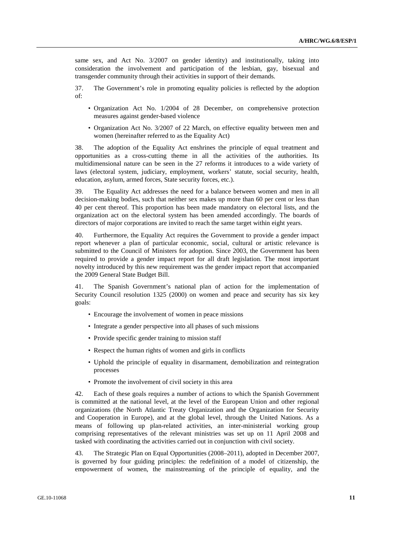same sex, and Act No. 3/2007 on gender identity) and institutionally, taking into consideration the involvement and participation of the lesbian, gay, bisexual and transgender community through their activities in support of their demands.

37. The Government's role in promoting equality policies is reflected by the adoption of:

- Organization Act No. 1/2004 of 28 December, on comprehensive protection measures against gender-based violence
- Organization Act No. 3/2007 of 22 March, on effective equality between men and women (hereinafter referred to as the Equality Act)

38. The adoption of the Equality Act enshrines the principle of equal treatment and opportunities as a cross-cutting theme in all the activities of the authorities. Its multidimensional nature can be seen in the 27 reforms it introduces to a wide variety of laws (electoral system, judiciary, employment, workers' statute, social security, health, education, asylum, armed forces, State security forces, etc.).

39. The Equality Act addresses the need for a balance between women and men in all decision-making bodies, such that neither sex makes up more than 60 per cent or less than 40 per cent thereof. This proportion has been made mandatory on electoral lists, and the organization act on the electoral system has been amended accordingly. The boards of directors of major corporations are invited to reach the same target within eight years.

40. Furthermore, the Equality Act requires the Government to provide a gender impact report whenever a plan of particular economic, social, cultural or artistic relevance is submitted to the Council of Ministers for adoption. Since 2003, the Government has been required to provide a gender impact report for all draft legislation. The most important novelty introduced by this new requirement was the gender impact report that accompanied the 2009 General State Budget Bill.

41. The Spanish Government's national plan of action for the implementation of Security Council resolution 1325 (2000) on women and peace and security has six key goals:

- Encourage the involvement of women in peace missions
- Integrate a gender perspective into all phases of such missions
- Provide specific gender training to mission staff
- Respect the human rights of women and girls in conflicts
- Uphold the principle of equality in disarmament, demobilization and reintegration processes
- Promote the involvement of civil society in this area

42. Each of these goals requires a number of actions to which the Spanish Government is committed at the national level, at the level of the European Union and other regional organizations (the North Atlantic Treaty Organization and the Organization for Security and Cooperation in Europe), and at the global level, through the United Nations. As a means of following up plan-related activities, an inter-ministerial working group comprising representatives of the relevant ministries was set up on 11 April 2008 and tasked with coordinating the activities carried out in conjunction with civil society.

43. The Strategic Plan on Equal Opportunities (2008–2011), adopted in December 2007, is governed by four guiding principles: the redefinition of a model of citizenship, the empowerment of women, the mainstreaming of the principle of equality, and the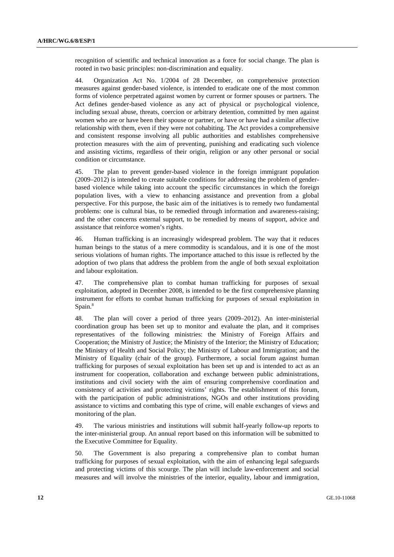recognition of scientific and technical innovation as a force for social change. The plan is rooted in two basic principles: non-discrimination and equality.

44. Organization Act No. 1/2004 of 28 December, on comprehensive protection measures against gender-based violence, is intended to eradicate one of the most common forms of violence perpetrated against women by current or former spouses or partners. The Act defines gender-based violence as any act of physical or psychological violence, including sexual abuse, threats, coercion or arbitrary detention, committed by men against women who are or have been their spouse or partner, or have or have had a similar affective relationship with them, even if they were not cohabiting. The Act provides a comprehensive and consistent response involving all public authorities and establishes comprehensive protection measures with the aim of preventing, punishing and eradicating such violence and assisting victims, regardless of their origin, religion or any other personal or social condition or circumstance.

45. The plan to prevent gender-based violence in the foreign immigrant population (2009–2012) is intended to create suitable conditions for addressing the problem of genderbased violence while taking into account the specific circumstances in which the foreign population lives, with a view to enhancing assistance and prevention from a global perspective. For this purpose, the basic aim of the initiatives is to remedy two fundamental problems: one is cultural bias, to be remedied through information and awareness-raising; and the other concerns external support, to be remedied by means of support, advice and assistance that reinforce women's rights.

46. Human trafficking is an increasingly widespread problem. The way that it reduces human beings to the status of a mere commodity is scandalous, and it is one of the most serious violations of human rights. The importance attached to this issue is reflected by the adoption of two plans that address the problem from the angle of both sexual exploitation and labour exploitation.

47. The comprehensive plan to combat human trafficking for purposes of sexual exploitation, adopted in December 2008, is intended to be the first comprehensive planning instrument for efforts to combat human trafficking for purposes of sexual exploitation in Spain.<sup>8</sup>

48. The plan will cover a period of three years (2009–2012). An inter-ministerial coordination group has been set up to monitor and evaluate the plan, and it comprises representatives of the following ministries: the Ministry of Foreign Affairs and Cooperation; the Ministry of Justice; the Ministry of the Interior; the Ministry of Education; the Ministry of Health and Social Policy; the Ministry of Labour and Immigration; and the Ministry of Equality (chair of the group). Furthermore, a social forum against human trafficking for purposes of sexual exploitation has been set up and is intended to act as an instrument for cooperation, collaboration and exchange between public administrations, institutions and civil society with the aim of ensuring comprehensive coordination and consistency of activities and protecting victims' rights. The establishment of this forum, with the participation of public administrations, NGOs and other institutions providing assistance to victims and combating this type of crime, will enable exchanges of views and monitoring of the plan.

49. The various ministries and institutions will submit half-yearly follow-up reports to the inter-ministerial group. An annual report based on this information will be submitted to the Executive Committee for Equality.

50. The Government is also preparing a comprehensive plan to combat human trafficking for purposes of sexual exploitation, with the aim of enhancing legal safeguards and protecting victims of this scourge. The plan will include law-enforcement and social measures and will involve the ministries of the interior, equality, labour and immigration,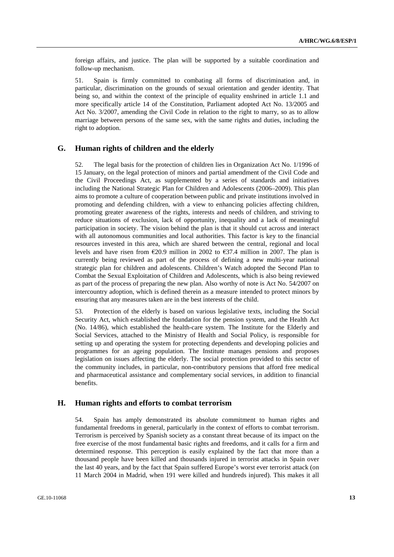foreign affairs, and justice. The plan will be supported by a suitable coordination and follow-up mechanism.

51. Spain is firmly committed to combating all forms of discrimination and, in particular, discrimination on the grounds of sexual orientation and gender identity. That being so, and within the context of the principle of equality enshrined in article 1.1 and more specifically article 14 of the Constitution, Parliament adopted Act No. 13/2005 and Act No. 3/2007, amending the Civil Code in relation to the right to marry, so as to allow marriage between persons of the same sex, with the same rights and duties, including the right to adoption.

#### **G. Human rights of children and the elderly**

52. The legal basis for the protection of children lies in Organization Act No. 1/1996 of 15 January, on the legal protection of minors and partial amendment of the Civil Code and the Civil Proceedings Act, as supplemented by a series of standards and initiatives including the National Strategic Plan for Children and Adolescents (2006–2009). This plan aims to promote a culture of cooperation between public and private institutions involved in promoting and defending children, with a view to enhancing policies affecting children, promoting greater awareness of the rights, interests and needs of children, and striving to reduce situations of exclusion, lack of opportunity, inequality and a lack of meaningful participation in society. The vision behind the plan is that it should cut across and interact with all autonomous communities and local authorities. This factor is key to the financial resources invested in this area, which are shared between the central, regional and local levels and have risen from  $\epsilon$ 20.9 million in 2002 to  $\epsilon$ 37.4 million in 2007. The plan is currently being reviewed as part of the process of defining a new multi-year national strategic plan for children and adolescents. Children's Watch adopted the Second Plan to Combat the Sexual Exploitation of Children and Adolescents, which is also being reviewed as part of the process of preparing the new plan. Also worthy of note is Act No. 54/2007 on intercountry adoption, which is defined therein as a measure intended to protect minors by ensuring that any measures taken are in the best interests of the child.

53. Protection of the elderly is based on various legislative texts, including the Social Security Act, which established the foundation for the pension system, and the Health Act (No. 14/86), which established the health-care system. The Institute for the Elderly and Social Services, attached to the Ministry of Health and Social Policy, is responsible for setting up and operating the system for protecting dependents and developing policies and programmes for an ageing population. The Institute manages pensions and proposes legislation on issues affecting the elderly. The social protection provided to this sector of the community includes, in particular, non-contributory pensions that afford free medical and pharmaceutical assistance and complementary social services, in addition to financial benefits.

#### **H. Human rights and efforts to combat terrorism**

54. Spain has amply demonstrated its absolute commitment to human rights and fundamental freedoms in general, particularly in the context of efforts to combat terrorism. Terrorism is perceived by Spanish society as a constant threat because of its impact on the free exercise of the most fundamental basic rights and freedoms, and it calls for a firm and determined response. This perception is easily explained by the fact that more than a thousand people have been killed and thousands injured in terrorist attacks in Spain over the last 40 years, and by the fact that Spain suffered Europe's worst ever terrorist attack (on 11 March 2004 in Madrid, when 191 were killed and hundreds injured). This makes it all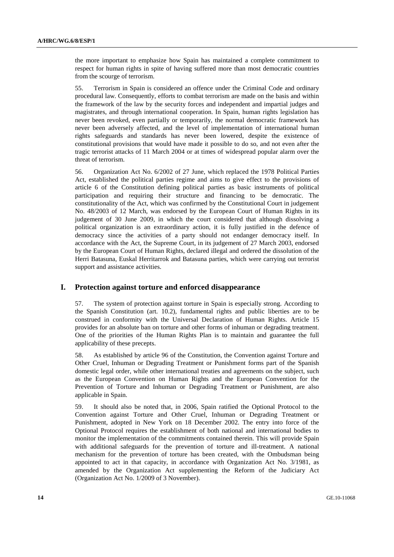the more important to emphasize how Spain has maintained a complete commitment to respect for human rights in spite of having suffered more than most democratic countries from the scourge of terrorism.

55. Terrorism in Spain is considered an offence under the Criminal Code and ordinary procedural law. Consequently, efforts to combat terrorism are made on the basis and within the framework of the law by the security forces and independent and impartial judges and magistrates, and through international cooperation. In Spain, human rights legislation has never been revoked, even partially or temporarily, the normal democratic framework has never been adversely affected, and the level of implementation of international human rights safeguards and standards has never been lowered, despite the existence of constitutional provisions that would have made it possible to do so, and not even after the tragic terrorist attacks of 11 March 2004 or at times of widespread popular alarm over the threat of terrorism.

56. Organization Act No. 6/2002 of 27 June, which replaced the 1978 Political Parties Act, established the political parties regime and aims to give effect to the provisions of article 6 of the Constitution defining political parties as basic instruments of political participation and requiring their structure and financing to be democratic. The constitutionality of the Act, which was confirmed by the Constitutional Court in judgement No. 48/2003 of 12 March, was endorsed by the European Court of Human Rights in its judgement of 30 June 2009, in which the court considered that although dissolving a political organization is an extraordinary action, it is fully justified in the defence of democracy since the activities of a party should not endanger democracy itself. In accordance with the Act, the Supreme Court, in its judgement of 27 March 2003, endorsed by the European Court of Human Rights, declared illegal and ordered the dissolution of the Herri Batasuna, Euskal Herritarrok and Batasuna parties, which were carrying out terrorist support and assistance activities.

#### **I. Protection against torture and enforced disappearance**

57. The system of protection against torture in Spain is especially strong. According to the Spanish Constitution (art. 10.2), fundamental rights and public liberties are to be construed in conformity with the Universal Declaration of Human Rights. Article 15 provides for an absolute ban on torture and other forms of inhuman or degrading treatment. One of the priorities of the Human Rights Plan is to maintain and guarantee the full applicability of these precepts.

58. As established by article 96 of the Constitution, the Convention against Torture and Other Cruel, Inhuman or Degrading Treatment or Punishment forms part of the Spanish domestic legal order, while other international treaties and agreements on the subject, such as the European Convention on Human Rights and the European Convention for the Prevention of Torture and Inhuman or Degrading Treatment or Punishment, are also applicable in Spain.

59. It should also be noted that, in 2006, Spain ratified the Optional Protocol to the Convention against Torture and Other Cruel, Inhuman or Degrading Treatment or Punishment, adopted in New York on 18 December 2002. The entry into force of the Optional Protocol requires the establishment of both national and international bodies to monitor the implementation of the commitments contained therein. This will provide Spain with additional safeguards for the prevention of torture and ill-treatment. A national mechanism for the prevention of torture has been created, with the Ombudsman being appointed to act in that capacity, in accordance with Organization Act No. 3/1981, as amended by the Organization Act supplementing the Reform of the Judiciary Act (Organization Act No. 1/2009 of 3 November).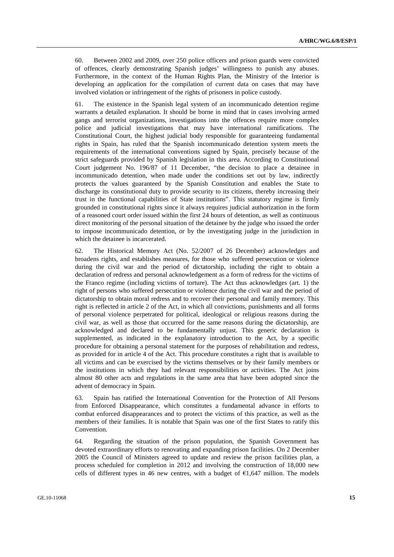60. Between 2002 and 2009, over 250 police officers and prison guards were convicted of offences, clearly demonstrating Spanish judges' willingness to punish any abuses. Furthermore, in the context of the Human Rights Plan, the Ministry of the Interior is developing an application for the compilation of current data on cases that may have involved violation or infringement of the rights of prisoners in police custody.

61. The existence in the Spanish legal system of an incommunicado detention regime warrants a detailed explanation. It should be borne in mind that in cases involving armed gangs and terrorist organizations, investigations into the offences require more complex police and judicial investigations that may have international ramifications. The Constitutional Court, the highest judicial body responsible for guaranteeing fundamental rights in Spain, has ruled that the Spanish incommunicado detention system meets the requirements of the international conventions signed by Spain, precisely because of the strict safeguards provided by Spanish legislation in this area. According to Constitutional Court judgement No. 196/87 of 11 December, "the decision to place a detainee in incommunicado detention, when made under the conditions set out by law, indirectly protects the values guaranteed by the Spanish Constitution and enables the State to discharge its constitutional duty to provide security to its citizens, thereby increasing their trust in the functional capabilities of State institutions". This statutory regime is firmly grounded in constitutional rights since it always requires judicial authorization in the form of a reasoned court order issued within the first 24 hours of detention, as well as continuous direct monitoring of the personal situation of the detainee by the judge who issued the order to impose incommunicado detention, or by the investigating judge in the jurisdiction in which the detainee is incarcerated.

62. The Historical Memory Act (No. 52/2007 of 26 December) acknowledges and broadens rights, and establishes measures, for those who suffered persecution or violence during the civil war and the period of dictatorship, including the right to obtain a declaration of redress and personal acknowledgement as a form of redress for the victims of the Franco regime (including victims of torture). The Act thus acknowledges (art. 1) the right of persons who suffered persecution or violence during the civil war and the period of dictatorship to obtain moral redress and to recover their personal and family memory. This right is reflected in article 2 of the Act, in which all convictions, punishments and all forms of personal violence perpetrated for political, ideological or religious reasons during the civil war, as well as those that occurred for the same reasons during the dictatorship, are acknowledged and declared to be fundamentally unjust. This generic declaration is supplemented, as indicated in the explanatory introduction to the Act, by a specific procedure for obtaining a personal statement for the purposes of rehabilitation and redress, as provided for in article 4 of the Act. This procedure constitutes a right that is available to all victims and can be exercised by the victims themselves or by their family members or the institutions in which they had relevant responsibilities or activities. The Act joins almost 80 other acts and regulations in the same area that have been adopted since the advent of democracy in Spain.

63. Spain has ratified the International Convention for the Protection of All Persons from Enforced Disappearance, which constitutes a fundamental advance in efforts to combat enforced disappearances and to protect the victims of this practice, as well as the members of their families. It is notable that Spain was one of the first States to ratify this Convention.

64. Regarding the situation of the prison population, the Spanish Government has devoted extraordinary efforts to renovating and expanding prison facilities. On 2 December 2005 the Council of Ministers agreed to update and review the prison facilities plan, a process scheduled for completion in 2012 and involving the construction of 18,000 new cells of different types in 46 new centres, with a budget of  $E1,647$  million. The models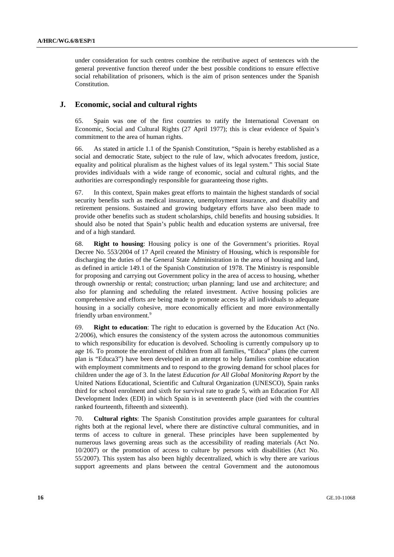under consideration for such centres combine the retributive aspect of sentences with the general preventive function thereof under the best possible conditions to ensure effective social rehabilitation of prisoners, which is the aim of prison sentences under the Spanish Constitution.

#### **J. Economic, social and cultural rights**

65. Spain was one of the first countries to ratify the International Covenant on Economic, Social and Cultural Rights (27 April 1977); this is clear evidence of Spain's commitment to the area of human rights.

66. As stated in article 1.1 of the Spanish Constitution, "Spain is hereby established as a social and democratic State, subject to the rule of law, which advocates freedom, justice, equality and political pluralism as the highest values of its legal system." This social State provides individuals with a wide range of economic, social and cultural rights, and the authorities are correspondingly responsible for guaranteeing those rights.

67. In this context, Spain makes great efforts to maintain the highest standards of social security benefits such as medical insurance, unemployment insurance, and disability and retirement pensions. Sustained and growing budgetary efforts have also been made to provide other benefits such as student scholarships, child benefits and housing subsidies. It should also be noted that Spain's public health and education systems are universal, free and of a high standard.

68. **Right to housing**: Housing policy is one of the Government's priorities. Royal Decree No. 553/2004 of 17 April created the Ministry of Housing, which is responsible for discharging the duties of the General State Administration in the area of housing and land, as defined in article 149.1 of the Spanish Constitution of 1978. The Ministry is responsible for proposing and carrying out Government policy in the area of access to housing, whether through ownership or rental; construction; urban planning; land use and architecture; and also for planning and scheduling the related investment. Active housing policies are comprehensive and efforts are being made to promote access by all individuals to adequate housing in a socially cohesive, more economically efficient and more environmentally friendly urban environment.<sup>9</sup>

69. **Right to education**: The right to education is governed by the Education Act (No. 2/2006), which ensures the consistency of the system across the autonomous communities to which responsibility for education is devolved. Schooling is currently compulsory up to age 16. To promote the enrolment of children from all families, "Educa" plans (the current plan is "Educa3") have been developed in an attempt to help families combine education with employment commitments and to respond to the growing demand for school places for children under the age of 3. In the latest *Education for All Global Monitoring Report* by the United Nations Educational, Scientific and Cultural Organization (UNESCO), Spain ranks third for school enrolment and sixth for survival rate to grade 5, with an Education For All Development Index (EDI) in which Spain is in seventeenth place (tied with the countries ranked fourteenth, fifteenth and sixteenth).

70. **Cultural rights**: The Spanish Constitution provides ample guarantees for cultural rights both at the regional level, where there are distinctive cultural communities, and in terms of access to culture in general. These principles have been supplemented by numerous laws governing areas such as the accessibility of reading materials (Act No. 10/2007) or the promotion of access to culture by persons with disabilities (Act No. 55/2007). This system has also been highly decentralized, which is why there are various support agreements and plans between the central Government and the autonomous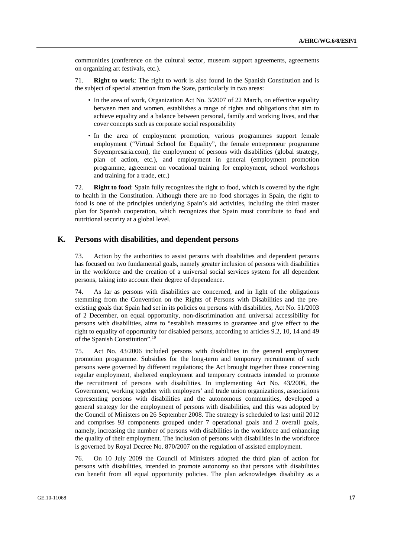communities (conference on the cultural sector, museum support agreements, agreements on organizing art festivals, etc.).

71. **Right to work**: The right to work is also found in the Spanish Constitution and is the subject of special attention from the State, particularly in two areas:

- In the area of work, Organization Act No. 3/2007 of 22 March, on effective equality between men and women, establishes a range of rights and obligations that aim to achieve equality and a balance between personal, family and working lives, and that cover concepts such as corporate social responsibility
- In the area of employment promotion, various programmes support female employment ("Virtual School for Equality", the female entrepreneur programme Soyempresaria.com), the employment of persons with disabilities (global strategy, plan of action, etc.), and employment in general (employment promotion programme, agreement on vocational training for employment, school workshops and training for a trade, etc.)

72. **Right to food**: Spain fully recognizes the right to food, which is covered by the right to health in the Constitution. Although there are no food shortages in Spain, the right to food is one of the principles underlying Spain's aid activities, including the third master plan for Spanish cooperation, which recognizes that Spain must contribute to food and nutritional security at a global level.

#### **K. Persons with disabilities, and dependent persons**

73. Action by the authorities to assist persons with disabilities and dependent persons has focused on two fundamental goals, namely greater inclusion of persons with disabilities in the workforce and the creation of a universal social services system for all dependent persons, taking into account their degree of dependence.

74. As far as persons with disabilities are concerned, and in light of the obligations stemming from the Convention on the Rights of Persons with Disabilities and the preexisting goals that Spain had set in its policies on persons with disabilities, Act No. 51/2003 of 2 December, on equal opportunity, non-discrimination and universal accessibility for persons with disabilities, aims to "establish measures to guarantee and give effect to the right to equality of opportunity for disabled persons, according to articles 9.2, 10, 14 and 49 of the Spanish Constitution".10

75. Act No. 43/2006 included persons with disabilities in the general employment promotion programme. Subsidies for the long-term and temporary recruitment of such persons were governed by different regulations; the Act brought together those concerning regular employment, sheltered employment and temporary contracts intended to promote the recruitment of persons with disabilities. In implementing Act No. 43/2006, the Government, working together with employers' and trade union organizations, associations representing persons with disabilities and the autonomous communities, developed a general strategy for the employment of persons with disabilities, and this was adopted by the Council of Ministers on 26 September 2008. The strategy is scheduled to last until 2012 and comprises 93 components grouped under 7 operational goals and 2 overall goals, namely, increasing the number of persons with disabilities in the workforce and enhancing the quality of their employment. The inclusion of persons with disabilities in the workforce is governed by Royal Decree No. 870/2007 on the regulation of assisted employment.

76. On 10 July 2009 the Council of Ministers adopted the third plan of action for persons with disabilities, intended to promote autonomy so that persons with disabilities can benefit from all equal opportunity policies. The plan acknowledges disability as a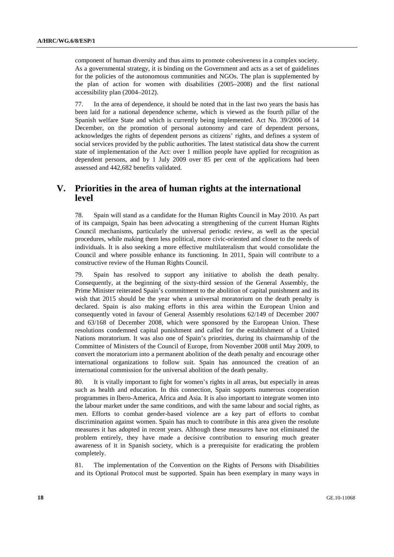component of human diversity and thus aims to promote cohesiveness in a complex society. As a governmental strategy, it is binding on the Government and acts as a set of guidelines for the policies of the autonomous communities and NGOs. The plan is supplemented by the plan of action for women with disabilities (2005–2008) and the first national accessibility plan (2004–2012).

77. In the area of dependence, it should be noted that in the last two years the basis has been laid for a national dependence scheme, which is viewed as the fourth pillar of the Spanish welfare State and which is currently being implemented. Act No. 39/2006 of 14 December, on the promotion of personal autonomy and care of dependent persons, acknowledges the rights of dependent persons as citizens' rights, and defines a system of social services provided by the public authorities. The latest statistical data show the current state of implementation of the Act: over 1 million people have applied for recognition as dependent persons, and by 1 July 2009 over 85 per cent of the applications had been assessed and 442,682 benefits validated.

### **V. Priorities in the area of human rights at the international level**

78. Spain will stand as a candidate for the Human Rights Council in May 2010. As part of its campaign, Spain has been advocating a strengthening of the current Human Rights Council mechanisms, particularly the universal periodic review, as well as the special procedures, while making them less political, more civic-oriented and closer to the needs of individuals. It is also seeking a more effective multilateralism that would consolidate the Council and where possible enhance its functioning. In 2011, Spain will contribute to a constructive review of the Human Rights Council.

79. Spain has resolved to support any initiative to abolish the death penalty. Consequently, at the beginning of the sixty-third session of the General Assembly, the Prime Minister reiterated Spain's commitment to the abolition of capital punishment and its wish that 2015 should be the year when a universal moratorium on the death penalty is declared. Spain is also making efforts in this area within the European Union and consequently voted in favour of General Assembly resolutions 62/149 of December 2007 and 63/168 of December 2008, which were sponsored by the European Union. These resolutions condemned capital punishment and called for the establishment of a United Nations moratorium. It was also one of Spain's priorities, during its chairmanship of the Committee of Ministers of the Council of Europe, from November 2008 until May 2009, to convert the moratorium into a permanent abolition of the death penalty and encourage other international organizations to follow suit. Spain has announced the creation of an international commission for the universal abolition of the death penalty.

80. It is vitally important to fight for women's rights in all areas, but especially in areas such as health and education. In this connection, Spain supports numerous cooperation programmes in Ibero-America, Africa and Asia. It is also important to integrate women into the labour market under the same conditions, and with the same labour and social rights, as men. Efforts to combat gender-based violence are a key part of efforts to combat discrimination against women. Spain has much to contribute in this area given the resolute measures it has adopted in recent years. Although these measures have not eliminated the problem entirely, they have made a decisive contribution to ensuring much greater awareness of it in Spanish society, which is a prerequisite for eradicating the problem completely.

81. The implementation of the Convention on the Rights of Persons with Disabilities and its Optional Protocol must be supported. Spain has been exemplary in many ways in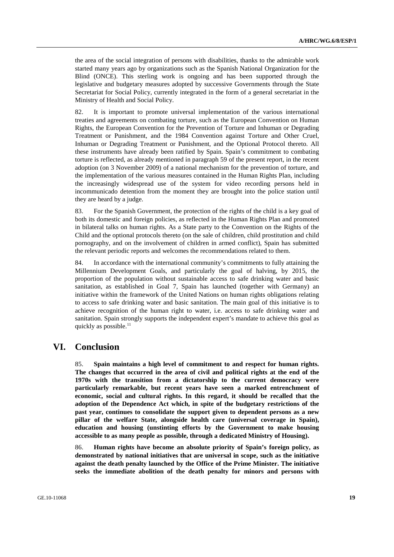the area of the social integration of persons with disabilities, thanks to the admirable work started many years ago by organizations such as the Spanish National Organization for the Blind (ONCE). This sterling work is ongoing and has been supported through the legislative and budgetary measures adopted by successive Governments through the State Secretariat for Social Policy, currently integrated in the form of a general secretariat in the Ministry of Health and Social Policy.

82. It is important to promote universal implementation of the various international treaties and agreements on combating torture, such as the European Convention on Human Rights, the European Convention for the Prevention of Torture and Inhuman or Degrading Treatment or Punishment, and the 1984 Convention against Torture and Other Cruel, Inhuman or Degrading Treatment or Punishment, and the Optional Protocol thereto. All these instruments have already been ratified by Spain. Spain's commitment to combating torture is reflected, as already mentioned in paragraph 59 of the present report, in the recent adoption (on 3 November 2009) of a national mechanism for the prevention of torture, and the implementation of the various measures contained in the Human Rights Plan, including the increasingly widespread use of the system for video recording persons held in incommunicado detention from the moment they are brought into the police station until they are heard by a judge.

83. For the Spanish Government, the protection of the rights of the child is a key goal of both its domestic and foreign policies, as reflected in the Human Rights Plan and promoted in bilateral talks on human rights. As a State party to the Convention on the Rights of the Child and the optional protocols thereto (on the sale of children, child prostitution and child pornography, and on the involvement of children in armed conflict), Spain has submitted the relevant periodic reports and welcomes the recommendations related to them.

84. In accordance with the international community's commitments to fully attaining the Millennium Development Goals, and particularly the goal of halving, by 2015, the proportion of the population without sustainable access to safe drinking water and basic sanitation, as established in Goal 7, Spain has launched (together with Germany) an initiative within the framework of the United Nations on human rights obligations relating to access to safe drinking water and basic sanitation. The main goal of this initiative is to achieve recognition of the human right to water, i.e. access to safe drinking water and sanitation. Spain strongly supports the independent expert's mandate to achieve this goal as quickly as possible. $^{11}$ 

## **VI. Conclusion**

85. **Spain maintains a high level of commitment to and respect for human rights. The changes that occurred in the area of civil and political rights at the end of the 1970s with the transition from a dictatorship to the current democracy were particularly remarkable, but recent years have seen a marked entrenchment of economic, social and cultural rights. In this regard, it should be recalled that the adoption of the Dependence Act which, in spite of the budgetary restrictions of the past year, continues to consolidate the support given to dependent persons as a new pillar of the welfare State, alongside health care (universal coverage in Spain), education and housing (unstinting efforts by the Government to make housing accessible to as many people as possible, through a dedicated Ministry of Housing).** 

86. **Human rights have become an absolute priority of Spain's foreign policy, as demonstrated by national initiatives that are universal in scope, such as the initiative against the death penalty launched by the Office of the Prime Minister. The initiative seeks the immediate abolition of the death penalty for minors and persons with**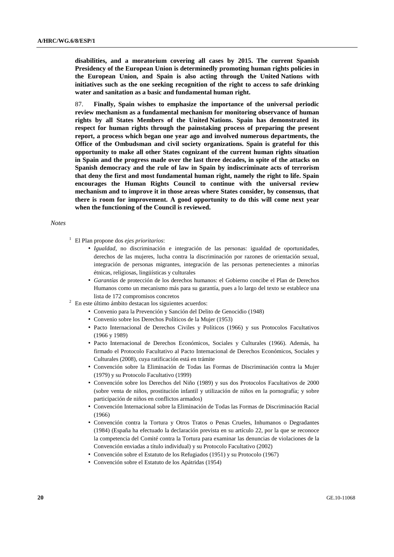**disabilities, and a moratorium covering all cases by 2015. The current Spanish Presidency of the European Union is determinedly promoting human rights policies in the European Union, and Spain is also acting through the United Nations with initiatives such as the one seeking recognition of the right to access to safe drinking water and sanitation as a basic and fundamental human right.** 

87. **Finally, Spain wishes to emphasize the importance of the universal periodic review mechanism as a fundamental mechanism for monitoring observance of human rights by all States Members of the United Nations. Spain has demonstrated its respect for human rights through the painstaking process of preparing the present report, a process which began one year ago and involved numerous departments, the Office of the Ombudsman and civil society organizations. Spain is grateful for this opportunity to make all other States cognizant of the current human rights situation in Spain and the progress made over the last three decades, in spite of the attacks on Spanish democracy and the rule of law in Spain by indiscriminate acts of terrorism that deny the first and most fundamental human right, namely the right to life. Spain encourages the Human Rights Council to continue with the universal review mechanism and to improve it in those areas where States consider, by consensus, that there is room for improvement. A good opportunity to do this will come next year when the functioning of the Council is reviewed.** 

#### *Notes*

- 1 El Plan propone dos *ejes prioritarios*:
	- *Igualdad*, no discriminación e integración de las personas: igualdad de oportunidades, derechos de las mujeres, lucha contra la discriminación por razones de orientación sexual, integración de personas migrantes, integración de las personas pertenecientes a minorías étnicas, religiosas, lingüísticas y culturales
	- *Garantías* de protección de los derechos humanos: el Gobierno concibe el Plan de Derechos Humanos como un mecanismo más para su garantía, pues a lo largo del texto se establece una
- lista de 172 compromisos concretos 2 En este último ámbito destacan los siguientes acuerdos:
	- Convenio para la Prevención y Sanción del Delito de Genocidio (1948)
	- Convenio sobre los Derechos Políticos de la Mujer (1953)
	- Pacto Internacional de Derechos Civiles y Políticos (1966) y sus Protocolos Facultativos (1966 y 1989)
	- Pacto Internacional de Derechos Económicos, Sociales y Culturales (1966). Además, ha firmado el Protocolo Facultativo al Pacto Internacional de Derechos Económicos, Sociales y Culturales (2008), cuya ratificación está en trámite
	- Convención sobre la Eliminación de Todas las Formas de Discriminación contra la Mujer (1979) y su Protocolo Facultativo (1999)
	- Convención sobre los Derechos del Niño (1989) y sus dos Protocolos Facultativos de 2000 (sobre venta de niños, prostitución infantil y utilización de niños en la pornografía; y sobre participación de niños en conflictos armados)
	- Convención Internacional sobre la Eliminación de Todas las Formas de Discriminación Racial (1966)
	- Convención contra la Tortura y Otros Tratos o Penas Crueles, Inhumanos o Degradantes (1984) (España ha efectuado la declaración prevista en su artículo 22, por la que se reconoce la competencia del Comité contra la Tortura para examinar las denuncias de violaciones de la Convención enviadas a título individual) y su Protocolo Facultativo (2002)
	- Convención sobre el Estatuto de los Refugiados (1951) y su Protocolo (1967)
	- Convención sobre el Estatuto de los Apátridas (1954)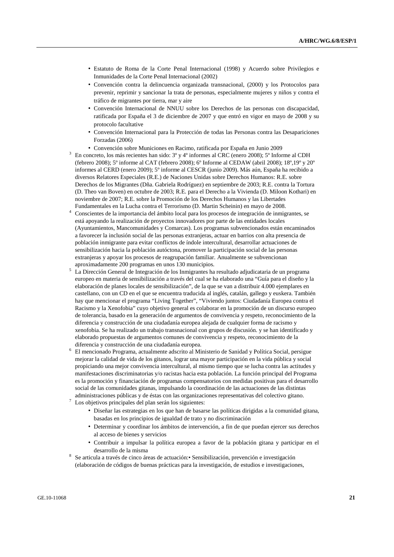- Estatuto de Roma de la Corte Penal Internacional (1998) y Acuerdo sobre Privilegios e Inmunidades de la Corte Penal Internacional (2002)
- Convención contra la delincuencia organizada transnacional, (2000) y los Protocolos para prevenir, reprimir y sancionar la trata de personas, especialmente mujeres y niños y contra el tráfico de migrantes por tierra, mar y aire
- Convención Internacional de NNUU sobre los Derechos de las personas con discapacidad, ratificada por España el 3 de diciembre de 2007 y que entró en vigor en mayo de 2008 y su protocolo facultative
- Convención Internacional para la Protección de todas las Personas contra las Desapariciones Forzadas (2006)
- Convención sobre Municiones en Racimo, ratificada por España en Junio 2009 3
- En concreto, los más recientes han sido: 3º y 4º informes al CRC (enero 2008); 5º Informe al CDH (febrero 2008); 5º informe al CAT (febrero 2008); 6º Informe al CEDAW (abril 2008); 18º,19º y 20º informes al CERD (enero 2009); 5º informe al CESCR (junio 2009). Más aún, España ha recibido a diversos Relatores Especiales (R.E.) de Naciones Unidas sobre Derechos Humanos: R.E. sobre Derechos de los Migrantes (Dña. Gabriela Rodríguez) en septiembre de 2003; R.E. contra la Tortura (D. Theo van Boven) en octubre de 2003; R.E. para el Derecho a la Vivienda (D. Miloon Kothari) en noviembre de 2007; R.E. sobre la Promoción de los Derechos Humanos y las Libertades Fundamentales en la Lucha contra el Terrorismo (D. Martin Scheinin) en mayo de 2008. 4
- Conscientes de la importancia del ámbito local para los procesos de integración de inmigrantes, se está apoyando la realización de proyectos innovadores por parte de las entidades locales (Ayuntamientos, Mancomunidades y Comarcas). Los programas subvencionados están encaminados a favorecer la inclusión social de las personas extranjeras, actuar en barrios con alta presencia de población inmigrante para evitar conflictos de índole intercultural, desarrollar actuaciones de sensibilización hacia la población autóctona, promover la participación social de las personas extranjeras y apoyar los procesos de reagrupación familiar. Anualmente se subvencionan aproximadamente 200 programas en unos 130 municipios. 5
- La Dirección General de Integración de los Inmigrantes ha resultado adjudicataria de un programa europeo en materia de sensibilización a través del cual se ha elaborado una "Guía para el diseño y la elaboración de planes locales de sensibilización", de la que se van a distribuir 4.000 ejemplares en castellano, con un CD en el que se encuentra traducida al inglés, catalán, gallego y euskera. También hay que mencionar el programa "Living Together", "Viviendo juntos: Ciudadanía Europea contra el Racismo y la Xenofobia" cuyo objetivo general es colaborar en la promoción de un discurso europeo de tolerancia, basado en la generación de argumentos de convivencia y respeto, reconocimiento de la diferencia y construcción de una ciudadanía europea alejada de cualquier forma de racismo y xenofobia. Se ha realizado un trabajo transnacional con grupos de discusión. y se han identificado y elaborado propuestas de argumentos comunes de convivencia y respeto, reconocimiento de la
- diferencia y construcción de una ciudadanía europea. 6 El mencionado Programa, actualmente adscrito al Ministerio de Sanidad y Política Social, persigue mejorar la calidad de vida de los gitanos, lograr una mayor participación en la vida pública y social propiciando una mejor convivencia intercultural, al mismo tiempo que se lucha contra las actitudes y manifestaciones discriminatorias y/o racistas hacia esta población. La función principal del Programa es la promoción y financiación de programas compensatorios con medidas positivas para el desarrollo social de las comunidades gitanas, impulsando la coordinación de las actuaciones de las distintas administraciones públicas y de éstas con las organizaciones representativas del colectivo gitano.<br>7 Los objetivos principales del plan serán los siguientes:
- Los objetivos principales del plan serán los siguientes:
	- Diseñar las estrategias en los que han de basarse las políticas dirigidas a la comunidad gitana, basadas en los principios de igualdad de trato y no discriminación
	- Determinar y coordinar los ámbitos de intervención, a fin de que puedan ejercer sus derechos al acceso de bienes y servicios
	- Contribuir a impulsar la política europea a favor de la población gitana y participar en el desarrollo de la misma
- Se articula a través de cinco áreas de actuación:• Sensibilización, prevención e investigación (elaboración de códigos de buenas prácticas para la investigación, de estudios e investigaciones,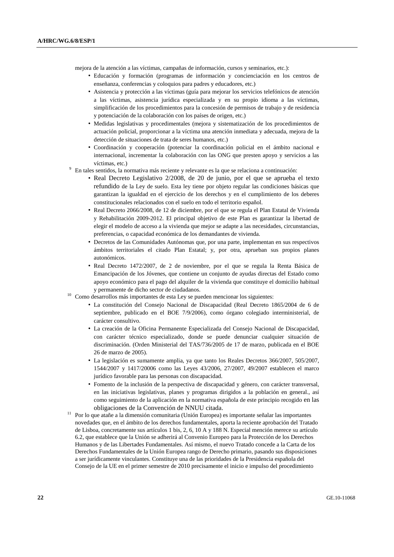mejora de la atención a las víctimas, campañas de información, cursos y seminarios, etc.):

- Educación y formación (programas de información y concienciación en los centros de enseñanza, conferencias y coloquios para padres y educadores, etc.)
- Asistencia y protección a las víctimas (guía para mejorar los servicios telefónicos de atención a las víctimas, asistencia jurídica especializada y en su propio idioma a las víctimas, simplificación de los procedimientos para la concesión de permisos de trabajo y de residencia y potenciación de la colaboración con los países de origen, etc.)
- Medidas legislativas y procedimentales (mejora y sistematización de los procedimientos de actuación policial, proporcionar a la víctima una atención inmediata y adecuada, mejora de la detección de situaciones de trata de seres humanos, etc.)
- Coordinación y cooperación (potenciar la coordinación policial en el ámbito nacional e internacional, incrementar la colaboración con las ONG que presten apoyo y servicios a las
- víctimas, etc.) 9 En tales sentidos, la normativa más reciente y relevante es la que se relaciona a continuación:
	- Real Decreto Legislativo 2/2008, de 20 de junio, por el que se aprueba el texto refundido de la Ley de suelo. Esta ley tiene por objeto regular las condiciones básicas que garantizan la igualdad en el ejercicio de los derechos y en el cumplimiento de los deberes constitucionales relacionados con el suelo en todo el territorio español.
	- Real Decreto 2066/2008, de 12 de diciembre, por el que se regula el Plan Estatal de Vivienda y Rehabilitación 2009-2012. El principal objetivo de este Plan es garantizar la libertad de elegir el modelo de acceso a la vivienda que mejor se adapte a las necesidades, circunstancias, preferencias, o capacidad económica de los demandantes de vivienda.
	- Decretos de las Comunidades Autónomas que, por una parte, implementan en sus respectivos ámbitos territoriales el citado Plan Estatal; y, por otra, aprueban sus propios planes autonómicos.
	- Real Decreto 1472/2007, de 2 de noviembre, por el que se regula la Renta Básica de Emancipación de los Jóvenes, que contiene un conjunto de ayudas directas del Estado como apoyo económico para el pago del alquiler de la vivienda que constituye el domicilio habitual
- y permanente de dicho sector de ciudadanos. 10 Como desarrollos más importantes de esta Ley se pueden mencionar los siguientes:
	- La constitución del Consejo Nacional de Discapacidad (Real Decreto 1865/2004 de 6 de septiembre, publicado en el BOE 7/9/2006), como órgano colegiado interministerial, de carácter consultivo.
	- La creación de la Oficina Permanente Especializada del Consejo Nacional de Discapacidad, con carácter técnico especializado, donde se puede denunciar cualquier situación de discriminación. (Orden Ministerial del TAS/736/2005 de 17 de marzo, publicada en el BOE 26 de marzo de 2005).
	- La legislación es sumamente amplia, ya que tanto los Reales Decretos 366/2007, 505/2007, 1544/2007 y 1417/20006 como las Leyes 43/2006, 27/2007, 49/2007 establecen el marco jurídico favorable para las personas con discapacidad.
	- Fomento de la inclusión de la perspectiva de discapacidad y género, con carácter transversal, en las iniciativas legislativas, planes y programas dirigidos a la población en general., así como seguimiento de la aplicación en la normativa española de este principio recogido en las
- obligaciones de la Convención de NNUU citada. 11 Por lo que atañe a la dimensión comunitaria (Unión Europea) es importante señalar las importantes novedades que, en el ámbito de los derechos fundamentales, aporta la reciente aprobación del Tratado de Lisboa, concretamente sus artículos 1 bis, 2, 6, 10 A y 188 N. Especial mención merece su artículo 6.2, que establece que la Unión se adherirá al Convenio Europeo para la Protección de los Derechos Humanos y de las Libertades Fundamentales. Así mismo, el nuevo Tratado concede a la Carta de los Derechos Fundamentales de la Unión Europea rango de Derecho primario, pasando sus disposiciones a ser jurídicamente vinculantes. Constituye una de las prioridades de la Presidencia española del Consejo de la UE en el primer semestre de 2010 precisamente el inicio e impulso del procedimiento